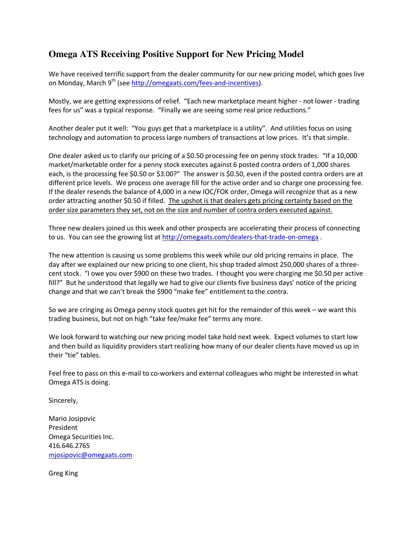## **Omega ATS Receiving Positive Support for New Pricing Model**

We have received terrific support from the dealer community for our new pricing model, which goes live on Monday, March 9<sup>th</sup> (see http://omegaats.com/fees-and-incentives).

Mostly, we are getting expressions of relief. "Each new marketplace meant higher - not lower - trading fees for us" was a typical response. "Finally we are seeing some real price reductions."

Another dealer put it well: "You guys get that a marketplace is a utility". And utilities focus on using technology and automation to process large numbers of transactions at low prices. It's that simple.

One dealer asked us to clarify our pricing of a \$0.50 processing fee on penny stock trades: "If a 10,000 market/marketable order for a penny stock executes against 6 posted contra orders of 1,000 shares each, is the processing fee \$0.50 or \$3.00?" The answer is \$0.50, even if the posted contra orders are at different price levels. We process one average fill for the active order and so charge one processing fee. If the dealer resends the balance of 4,000 in a new IOC/FOK order, Omega will recognize that as a new order attracting another \$0.50 if filled. The upshot is that dealers gets pricing certainty based on the order size parameters they set, not on the size and number of contra orders executed against.

Three new dealers joined us this week and other prospects are accelerating their process of connecting to us. You can see the growing list at http://omegaats.com/dealers-that-trade-on-omega.

The new attention is causing us some problems this week while our old pricing remains in place. The day after we explained our new pricing to one client, his shop traded almost 250,000 shares of a threecent stock. "I owe you over \$900 on these two trades. I thought you were charging me \$0.50 per active fill?" But he understood that legally we had to give our clients five business days' notice of the pricing change and that we can't break the \$900 "make fee" entitlement to the contra.

So we are cringing as Omega penny stock quotes get hit for the remainder of this week – we want this trading business, but not on high "take fee/make fee" terms any more.

We look forward to watching our new pricing model take hold next week. Expect volumes to start low and then build as liquidity providers start realizing how many of our dealer clients have moved us up in their "tie" tables.

Feel free to pass on this e-mail to co-workers and external colleagues who might be interested in what Omega ATS is doing.

Sincerely,

Mario Josipovic President Omega Securities Inc. 416.646.2765 mjosipovic@omegaats.com

Greg King